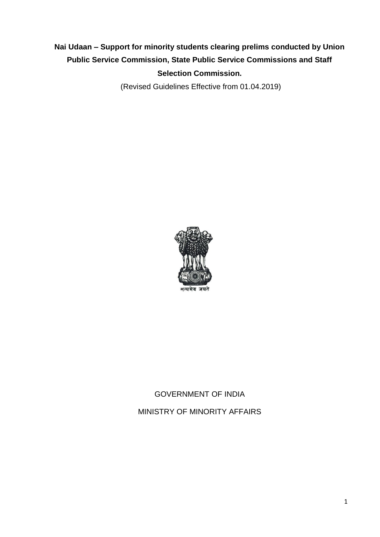# **Nai Udaan – Support for minority students clearing prelims conducted by Union Public Service Commission, State Public Service Commissions and Staff Selection Commission.**

(Revised Guidelines Effective from 01.04.2019)



# GOVERNMENT OF INDIA

MINISTRY OF MINORITY AFFAIRS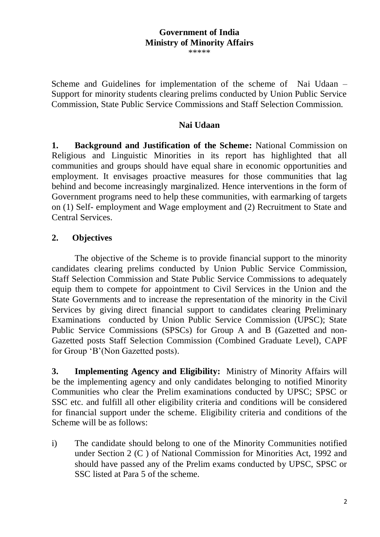### **Government of India Ministry of Minority Affairs**

\*\*\*\*\*

Scheme and Guidelines for implementation of the scheme of Nai Udaan – Support for minority students clearing prelims conducted by Union Public Service Commission, State Public Service Commissions and Staff Selection Commission.

### **Nai Udaan**

**1. Background and Justification of the Scheme:** National Commission on Religious and Linguistic Minorities in its report has highlighted that all communities and groups should have equal share in economic opportunities and employment. It envisages proactive measures for those communities that lag behind and become increasingly marginalized. Hence interventions in the form of Government programs need to help these communities, with earmarking of targets on (1) Self- employment and Wage employment and (2) Recruitment to State and Central Services.

### **2. Objectives**

The objective of the Scheme is to provide financial support to the minority candidates clearing prelims conducted by Union Public Service Commission, Staff Selection Commission and State Public Service Commissions to adequately equip them to compete for appointment to Civil Services in the Union and the State Governments and to increase the representation of the minority in the Civil Services by giving direct financial support to candidates clearing Preliminary Examinations conducted by Union Public Service Commission (UPSC); State Public Service Commissions (SPSCs) for Group A and B (Gazetted and non-Gazetted posts Staff Selection Commission (Combined Graduate Level), CAPF for Group 'B'(Non Gazetted posts).

**3. Implementing Agency and Eligibility:** Ministry of Minority Affairs will be the implementing agency and only candidates belonging to notified Minority Communities who clear the Prelim examinations conducted by UPSC; SPSC or SSC etc. and fulfill all other eligibility criteria and conditions will be considered for financial support under the scheme. Eligibility criteria and conditions of the Scheme will be as follows:

i) The candidate should belong to one of the Minority Communities notified under Section 2 (C ) of National Commission for Minorities Act, 1992 and should have passed any of the Prelim exams conducted by UPSC, SPSC or SSC listed at Para 5 of the scheme.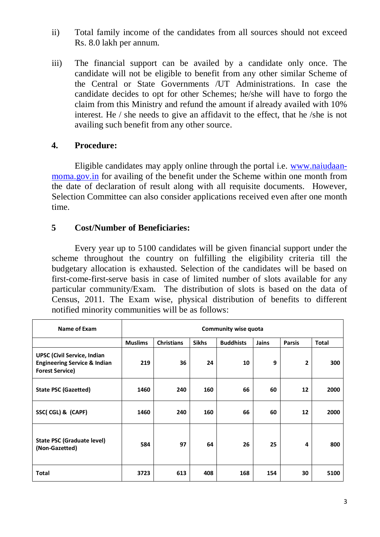- ii) Total family income of the candidates from all sources should not exceed Rs. 8.0 lakh per annum.
- iii) The financial support can be availed by a candidate only once. The candidate will not be eligible to benefit from any other similar Scheme of the Central or State Governments /UT Administrations. In case the candidate decides to opt for other Schemes; he/she will have to forgo the claim from this Ministry and refund the amount if already availed with 10% interest. He / she needs to give an affidavit to the effect, that he /she is not availing such benefit from any other source.

#### **4. Procedure:**

Eligible candidates may apply online through the portal i.e. [www.naiudaan](http://www.naiudaan-moma.gov.in/)[moma.gov.in](http://www.naiudaan-moma.gov.in/) for availing of the benefit under the Scheme within one month from the date of declaration of result along with all requisite documents. However, Selection Committee can also consider applications received even after one month time.

### **5 Cost/Number of Beneficiaries:**

Every year up to 5100 candidates will be given financial support under the scheme throughout the country on fulfilling the eligibility criteria till the budgetary allocation is exhausted. Selection of the candidates will be based on first-come-first-serve basis in case of limited number of slots available for any particular community/Exam. The distribution of slots is based on the data of Census, 2011. The Exam wise, physical distribution of benefits to different notified minority communities will be as follows:

| Name of Exam                                                                                            | <b>Community wise quota</b> |                   |              |                  |              |               |              |
|---------------------------------------------------------------------------------------------------------|-----------------------------|-------------------|--------------|------------------|--------------|---------------|--------------|
|                                                                                                         | <b>Muslims</b>              | <b>Christians</b> | <b>Sikhs</b> | <b>Buddhists</b> | <b>Jains</b> | <b>Parsis</b> | <b>Total</b> |
| <b>UPSC (Civil Service, Indian</b><br><b>Engineering Service &amp; Indian</b><br><b>Forest Service)</b> | 219                         | 36                | 24           | 10               | 9            | 2             | 300          |
| <b>State PSC (Gazetted)</b>                                                                             | 1460                        | 240               | 160          | 66               | 60           | 12            | 2000         |
| SSC(CGL) & (CAPF)                                                                                       | 1460                        | 240               | 160          | 66               | 60           | 12            | 2000         |
| <b>State PSC (Graduate level)</b><br>(Non-Gazetted)                                                     | 584                         | 97                | 64           | 26               | 25           | 4             | 800          |
| <b>Total</b>                                                                                            | 3723                        | 613               | 408          | 168              | 154          | 30            | 5100         |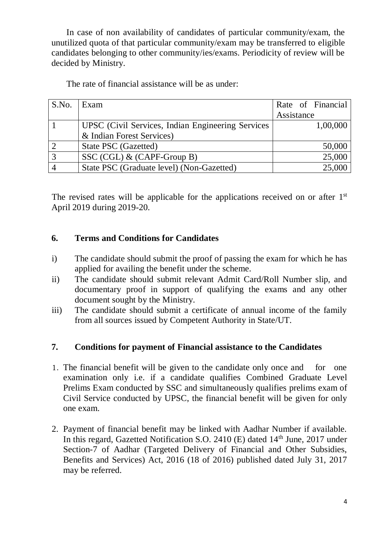In case of non availability of candidates of particular community/exam, the unutilized quota of that particular community/exam may be transferred to eligible candidates belonging to other community/ies/exams. Periodicity of review will be decided by Ministry.

The rate of financial assistance will be as under:

| S.No. | Exam                                              | Rate of Financial |
|-------|---------------------------------------------------|-------------------|
|       |                                                   | Assistance        |
|       | UPSC (Civil Services, Indian Engineering Services | 1,00,000          |
|       | & Indian Forest Services)                         |                   |
|       | State PSC (Gazetted)                              | 50,000            |
|       | SSC (CGL) $\&$ (CAPF-Group B)                     | 25,000            |
|       | State PSC (Graduate level) (Non-Gazetted)         | 25,000            |

The revised rates will be applicable for the applications received on or after 1<sup>st</sup> April 2019 during 2019-20.

# **6. Terms and Conditions for Candidates**

- i) The candidate should submit the proof of passing the exam for which he has applied for availing the benefit under the scheme.
- ii) The candidate should submit relevant Admit Card/Roll Number slip, and documentary proof in support of qualifying the exams and any other document sought by the Ministry.
- iii) The candidate should submit a certificate of annual income of the family from all sources issued by Competent Authority in State/UT.

# **7. Conditions for payment of Financial assistance to the Candidates**

- 1. The financial benefit will be given to the candidate only once and for one examination only i.e. if a candidate qualifies Combined Graduate Level Prelims Exam conducted by SSC and simultaneously qualifies prelims exam of Civil Service conducted by UPSC, the financial benefit will be given for only one exam.
- 2. Payment of financial benefit may be linked with Aadhar Number if available. In this regard, Gazetted Notification S.O. 2410 (E) dated  $14<sup>th</sup>$  June, 2017 under Section-7 of Aadhar (Targeted Delivery of Financial and Other Subsidies, Benefits and Services) Act, 2016 (18 of 2016) published dated July 31, 2017 may be referred.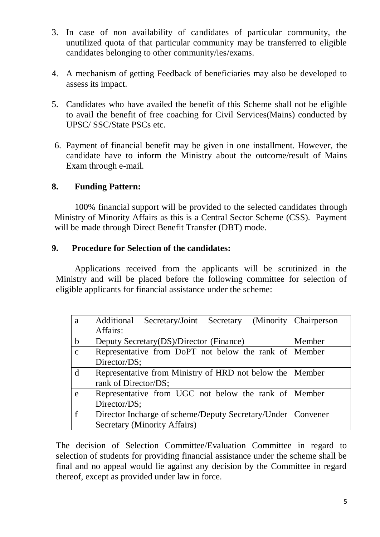- 3. In case of non availability of candidates of particular community, the unutilized quota of that particular community may be transferred to eligible candidates belonging to other community/ies/exams.
- 4. A mechanism of getting Feedback of beneficiaries may also be developed to assess its impact.
- 5. Candidates who have availed the benefit of this Scheme shall not be eligible to avail the benefit of free coaching for Civil Services(Mains) conducted by UPSC/ SSC/State PSCs etc.
- 6. Payment of financial benefit may be given in one installment. However, the candidate have to inform the Ministry about the outcome/result of Mains Exam through e-mail.

### **8. Funding Pattern:**

100% financial support will be provided to the selected candidates through Ministry of Minority Affairs as this is a Central Sector Scheme (CSS). Payment will be made through Direct Benefit Transfer (DBT) mode.

### **9. Procedure for Selection of the candidates:**

Applications received from the applicants will be scrutinized in the Ministry and will be placed before the following committee for selection of eligible applicants for financial assistance under the scheme:

| a            | Additional Secretary/Joint Secretary (Minority Chairperson    |        |  |
|--------------|---------------------------------------------------------------|--------|--|
|              | Affairs:                                                      |        |  |
| $\mathbf{b}$ | Deputy Secretary(DS)/Director (Finance)                       | Member |  |
| $\mathbf{c}$ | Representative from DoPT not below the rank of Member         |        |  |
|              | Director/DS;                                                  |        |  |
| d            | Representative from Ministry of HRD not below the   Member    |        |  |
|              | rank of Director/DS;                                          |        |  |
| e            | Representative from UGC not below the rank of Member          |        |  |
|              | Director/DS;                                                  |        |  |
| $\mathbf f$  | Director Incharge of scheme/Deputy Secretary/Under   Convener |        |  |
|              | <b>Secretary (Minority Affairs)</b>                           |        |  |

The decision of Selection Committee/Evaluation Committee in regard to selection of students for providing financial assistance under the scheme shall be final and no appeal would lie against any decision by the Committee in regard thereof, except as provided under law in force.